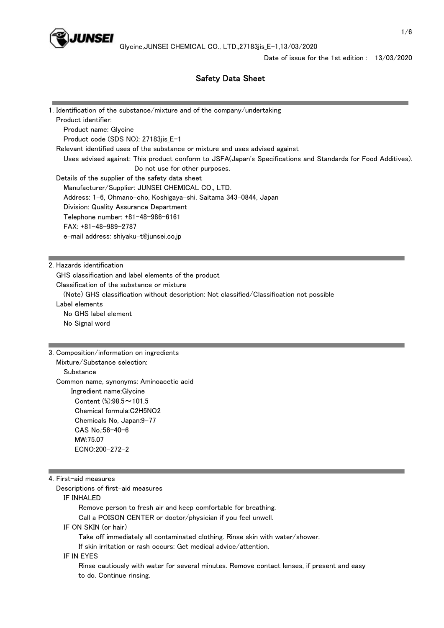

# Safety Data Sheet

|                                                                         | 1. Identification of the substance/mixture and of the company/undertaking                                                      |
|-------------------------------------------------------------------------|--------------------------------------------------------------------------------------------------------------------------------|
| Product identifier:                                                     |                                                                                                                                |
| Product name: Glycine                                                   |                                                                                                                                |
| Product code (SDS NO): 27183jis_E-1                                     |                                                                                                                                |
|                                                                         | Relevant identified uses of the substance or mixture and uses advised against                                                  |
|                                                                         | Uses advised against: This product conform to JSFA(Japan's Specifications and Standards for Food Additives).                   |
|                                                                         | Do not use for other purposes.                                                                                                 |
| Details of the supplier of the safety data sheet                        |                                                                                                                                |
|                                                                         | Manufacturer/Supplier: JUNSEI CHEMICAL CO., LTD.                                                                               |
|                                                                         | Address: 1-6, Ohmano-cho, Koshigaya-shi, Saitama 343-0844, Japan                                                               |
| Division: Quality Assurance Department                                  |                                                                                                                                |
| Telephone number: +81-48-986-6161                                       |                                                                                                                                |
| FAX: +81-48-989-2787                                                    |                                                                                                                                |
| e-mail address: shiyaku-t@junsei.co.jp                                  |                                                                                                                                |
|                                                                         |                                                                                                                                |
| 2. Hazards identification                                               |                                                                                                                                |
|                                                                         |                                                                                                                                |
| GHS classification and label elements of the product                    |                                                                                                                                |
| Classification of the substance or mixture                              |                                                                                                                                |
|                                                                         | (Note) GHS classification without description: Not classified/Classification not possible                                      |
| Label elements                                                          |                                                                                                                                |
|                                                                         |                                                                                                                                |
| No GHS label element                                                    |                                                                                                                                |
| No Signal word                                                          |                                                                                                                                |
|                                                                         |                                                                                                                                |
|                                                                         |                                                                                                                                |
| Mixture/Substance selection:                                            |                                                                                                                                |
| Substance                                                               |                                                                                                                                |
| Common name, synonyms: Aminoacetic acid                                 |                                                                                                                                |
|                                                                         |                                                                                                                                |
| Ingredient name: Glycine                                                |                                                                                                                                |
| Content $\frac{\frac{6}{2}}{2}$ :98.5~101.5<br>Chemical formula:C2H5NO2 |                                                                                                                                |
|                                                                         |                                                                                                                                |
| Chemicals No, Japan:9-77                                                |                                                                                                                                |
| CAS No.:56-40-6                                                         |                                                                                                                                |
| 3. Composition/information on ingredients<br>MW:75.07                   |                                                                                                                                |
| ECNO:200-272-2                                                          |                                                                                                                                |
|                                                                         |                                                                                                                                |
| 4. First-aid measures                                                   |                                                                                                                                |
| Descriptions of first-aid measures                                      |                                                                                                                                |
| IF INHALED                                                              |                                                                                                                                |
|                                                                         | Remove person to fresh air and keep comfortable for breathing.<br>Call a POISON CENTER or doctor/physician if you feel unwell. |

IF ON SKIN (or hair)

Take off immediately all contaminated clothing. Rinse skin with water/shower.

If skin irritation or rash occurs: Get medical advice/attention.

# IF IN EYES

 Rinse cautiously with water for several minutes. Remove contact lenses, if present and easy to do. Continue rinsing.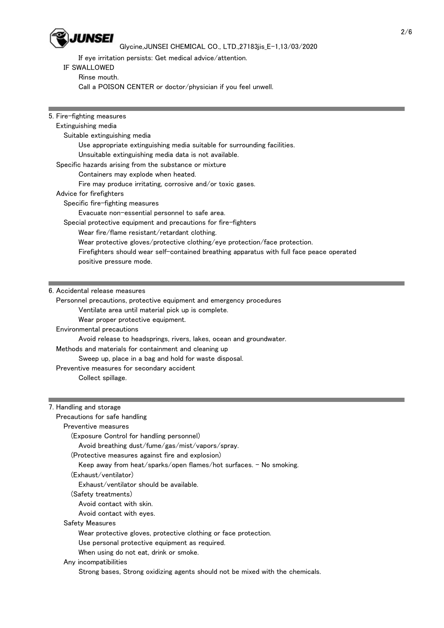

# Glycine,JUNSEI CHEMICAL CO., LTD.,27183jis\_E-1,13/03/2020

If eye irritation persists: Get medical advice/attention.

## IF SWALLOWED

Rinse mouth.

Call a POISON CENTER or doctor/physician if you feel unwell.

| 5. Fire-fighting measures                                                                 |
|-------------------------------------------------------------------------------------------|
| Extinguishing media                                                                       |
| Suitable extinguishing media                                                              |
| Use appropriate extinguishing media suitable for surrounding facilities.                  |
| Unsuitable extinguishing media data is not available.                                     |
| Specific hazards arising from the substance or mixture                                    |
| Containers may explode when heated.                                                       |
| Fire may produce irritating, corrosive and/or toxic gases.                                |
| Advice for firefighters                                                                   |
| Specific fire-fighting measures                                                           |
| Evacuate non-essential personnel to safe area.                                            |
| Special protective equipment and precautions for fire-fighters                            |
| Wear fire/flame resistant/retardant clothing.                                             |
| Wear protective gloves/protective clothing/eye protection/face protection.                |
| Firefighters should wear self-contained breathing apparatus with full face peace operated |
| positive pressure mode.                                                                   |
|                                                                                           |
|                                                                                           |
| $\sim$ $\sim$                                                                             |

### 6. Accidental release measures

Personnel precautions, protective equipment and emergency procedures

Ventilate area until material pick up is complete.

Wear proper protective equipment.

Environmental precautions

Avoid release to headsprings, rivers, lakes, ocean and groundwater.

Methods and materials for containment and cleaning up

Sweep up, place in a bag and hold for waste disposal.

Preventive measures for secondary accident

Collect spillage.

### 7. Handling and storage

Precautions for safe handling

### Preventive measures

(Exposure Control for handling personnel)

Avoid breathing dust/fume/gas/mist/vapors/spray.

#### (Protective measures against fire and explosion)

Keep away from heat/sparks/open flames/hot surfaces. - No smoking.

#### (Exhaust/ventilator)

Exhaust/ventilator should be available.

(Safety treatments)

Avoid contact with skin.

Avoid contact with eyes.

## Safety Measures

Wear protective gloves, protective clothing or face protection.

Use personal protective equipment as required.

When using do not eat, drink or smoke.

Any incompatibilities

Strong bases, Strong oxidizing agents should not be mixed with the chemicals.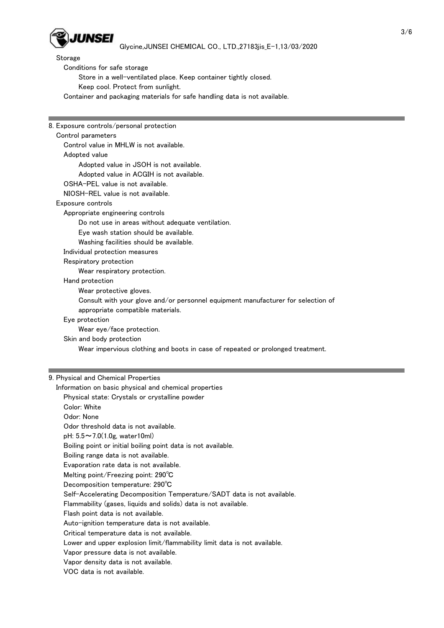

Storage

Conditions for safe storage

Store in a well-ventilated place. Keep container tightly closed.

Keep cool. Protect from sunlight.

Container and packaging materials for safe handling data is not available.

| 8. Exposure controls/personal protection                                         |
|----------------------------------------------------------------------------------|
| Control parameters                                                               |
| Control value in MHLW is not available.                                          |
| Adopted value                                                                    |
| Adopted value in JSOH is not available.                                          |
| Adopted value in ACGIH is not available.                                         |
| OSHA-PEL value is not available.                                                 |
| NIOSH-REL value is not available.                                                |
| Exposure controls                                                                |
| Appropriate engineering controls                                                 |
| Do not use in areas without adequate ventilation.                                |
| Eye wash station should be available.                                            |
| Washing facilities should be available.                                          |
| Individual protection measures                                                   |
| Respiratory protection                                                           |
| Wear respiratory protection.                                                     |
| Hand protection                                                                  |
| Wear protective gloves.                                                          |
| Consult with your glove and/or personnel equipment manufacturer for selection of |
| appropriate compatible materials.                                                |
| Eye protection                                                                   |
| Wear eye/face protection.                                                        |
| Skin and body protection                                                         |
| Wear impervious clothing and boots in case of repeated or prolonged treatment.   |
|                                                                                  |
|                                                                                  |
|                                                                                  |
| 9. Physical and Chemical Properties                                              |
| Information on basic physical and chemical properties                            |
| Physical state: Crystals or crystalline powder                                   |
| Color: White                                                                     |
| Odor: None                                                                       |
| Odor threshold data is not available.                                            |
| pH: $5.5 \sim 7.0(1.0g, water10ml)$                                              |
| Boiling point or initial boiling point data is not available.                    |
| Boiling range data is not available.                                             |
| Evaporation rate data is not available.                                          |
| Melting point/Freezing point: 290°C                                              |
| Decomposition temperature: 290°C                                                 |
| Self-Accelerating Decomposition Temperature/SADT data is not available.          |
| Flammability (gases, liquids and solids) data is not available.                  |
| Flash point data is not available.                                               |
| Auto-ignition temperature data is not available.                                 |
| Critical temperature data is not available.                                      |
| Lower and upper explosion limit/flammability limit data is not available.        |
| Vapor pressure data is not available.                                            |
| Vapor density data is not available.                                             |
| VOC data is not available.                                                       |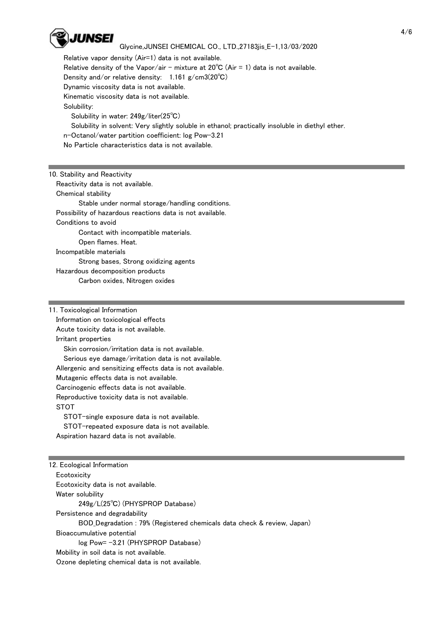

# Glycine,JUNSEI CHEMICAL CO., LTD.,27183jis\_E-1,13/03/2020

 Relative vapor density (Air=1) data is not available. Relative density of the Vapor/air - mixture at  $20^{\circ}$ C (Air = 1) data is not available. Density and/or relative density: 1.161 g/cm3(20℃) Dynamic viscosity data is not available. Kinematic viscosity data is not available. Solubility: Solubility in water: 249g/liter(25℃) Solubility in solvent: Very slightly soluble in ethanol; practically insoluble in diethyl ether. n-Octanol/water partition coefficient: log Pow-3.21 No Particle characteristics data is not available.

10. Stability and Reactivity

 Reactivity data is not available. Chemical stability Stable under normal storage/handling conditions. Possibility of hazardous reactions data is not available. Conditions to avoid Contact with incompatible materials. Open flames. Heat. Incompatible materials Strong bases, Strong oxidizing agents Hazardous decomposition products Carbon oxides, Nitrogen oxides

11. Toxicological Information

 Information on toxicological effects Acute toxicity data is not available. Irritant properties Skin corrosion/irritation data is not available. Serious eye damage/irritation data is not available. Allergenic and sensitizing effects data is not available. Mutagenic effects data is not available. Carcinogenic effects data is not available. Reproductive toxicity data is not available. **STOT**  STOT-single exposure data is not available. STOT-repeated exposure data is not available. Aspiration hazard data is not available.

12. Ecological Information **Ecotoxicity**  Ecotoxicity data is not available. Water solubility 249g/L(25℃) (PHYSPROP Database) Persistence and degradability BOD\_Degradation : 79% (Registered chemicals data check & review, Japan) Bioaccumulative potential log Pow= -3.21 (PHYSPROP Database) Mobility in soil data is not available. Ozone depleting chemical data is not available.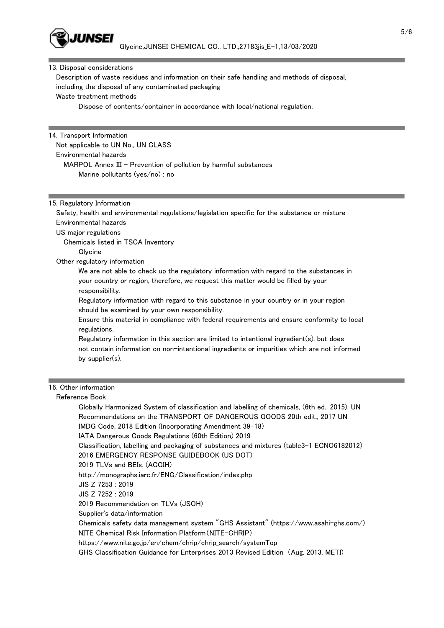

#### 13. Disposal considerations

 Description of waste residues and information on their safe handling and methods of disposal, including the disposal of any contaminated packaging Waste treatment methods

Dispose of contents/container in accordance with local/national regulation.

## 14. Transport Information Not applicable to UN No., UN CLASS Environmental hazards MARPOL Annex III - Prevention of pollution by harmful substances Marine pollutants (yes/no) : no

### 15. Regulatory Information

 Safety, health and environmental regulations/legislation specific for the substance or mixture Environmental hazards

US major regulations

Chemicals listed in TSCA Inventory

Glycine

Other regulatory information

 We are not able to check up the regulatory information with regard to the substances in your country or region, therefore, we request this matter would be filled by your responsibility.

 Regulatory information with regard to this substance in your country or in your region should be examined by your own responsibility.

 Ensure this material in compliance with federal requirements and ensure conformity to local regulations.

 Regulatory information in this section are limited to intentional ingredient(s), but does not contain information on non-intentional ingredients or impurities which are not informed by supplier(s).

## 16. Other information

#### Reference Book

 Globally Harmonized System of classification and labelling of chemicals, (6th ed., 2015), UN Recommendations on the TRANSPORT OF DANGEROUS GOODS 20th edit., 2017 UN IMDG Code, 2018 Edition (Incorporating Amendment 39-18) IATA Dangerous Goods Regulations (60th Edition) 2019 Classification, labelling and packaging of substances and mixtures (table3-1 ECNO6182012) 2016 EMERGENCY RESPONSE GUIDEBOOK (US DOT) 2019 TLVs and BEIs. (ACGIH) http://monographs.iarc.fr/ENG/Classification/index.php JIS Z 7253 : 2019 JIS Z 7252 : 2019 2019 Recommendation on TLVs (JSOH) Supplier's data/information Chemicals safety data management system "GHS Assistant" (https://www.asahi-ghs.com/) NITE Chemical Risk Information Platform(NITE-CHRIP) https://www.nite.go.jp/en/chem/chrip/chrip\_search/systemTop

GHS Classification Guidance for Enterprises 2013 Revised Edition (Aug. 2013, METI)